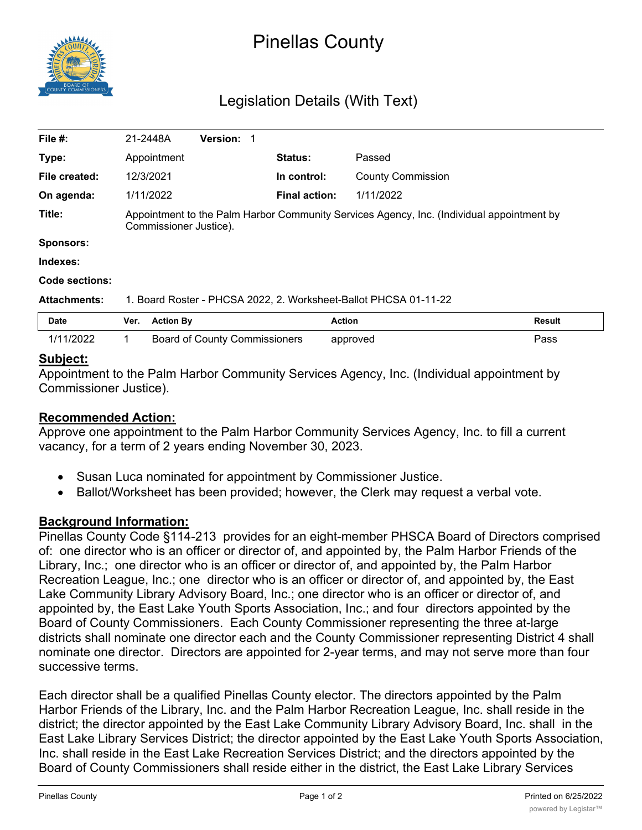

# Pinellas County

## Legislation Details (With Text)

| File #:             | 21-2448A                                                                                                            |                  | <b>Version: 1</b>                    |  |                      |                          |        |
|---------------------|---------------------------------------------------------------------------------------------------------------------|------------------|--------------------------------------|--|----------------------|--------------------------|--------|
| Type:               |                                                                                                                     | Appointment      |                                      |  | <b>Status:</b>       | Passed                   |        |
| File created:       | 12/3/2021                                                                                                           |                  |                                      |  | In control:          | <b>County Commission</b> |        |
| On agenda:          | 1/11/2022                                                                                                           |                  |                                      |  | <b>Final action:</b> | 1/11/2022                |        |
| Title:              | Appointment to the Palm Harbor Community Services Agency, Inc. (Individual appointment by<br>Commissioner Justice). |                  |                                      |  |                      |                          |        |
| <b>Sponsors:</b>    |                                                                                                                     |                  |                                      |  |                      |                          |        |
| Indexes:            |                                                                                                                     |                  |                                      |  |                      |                          |        |
| Code sections:      |                                                                                                                     |                  |                                      |  |                      |                          |        |
| <b>Attachments:</b> | 1. Board Roster - PHCSA 2022, 2. Worksheet-Ballot PHCSA 01-11-22                                                    |                  |                                      |  |                      |                          |        |
| <b>Date</b>         | Ver.                                                                                                                | <b>Action By</b> |                                      |  |                      | <b>Action</b>            | Result |
| 1/11/2022           |                                                                                                                     |                  | <b>Board of County Commissioners</b> |  |                      | approved                 | Pass   |

#### **Subject:**

Appointment to the Palm Harbor Community Services Agency, Inc. (Individual appointment by Commissioner Justice).

### **Recommended Action:**

Approve one appointment to the Palm Harbor Community Services Agency, Inc. to fill a current vacancy, for a term of 2 years ending November 30, 2023.

- · Susan Luca nominated for appointment by Commissioner Justice.
- · Ballot/Worksheet has been provided; however, the Clerk may request a verbal vote.

### **Background Information:**

Pinellas County Code §114-213 provides for an eight-member PHSCA Board of Directors comprised of: one director who is an officer or director of, and appointed by, the Palm Harbor Friends of the Library, Inc.; one director who is an officer or director of, and appointed by, the Palm Harbor Recreation League, Inc.; one director who is an officer or director of, and appointed by, the East Lake Community Library Advisory Board, Inc.; one director who is an officer or director of, and appointed by, the East Lake Youth Sports Association, Inc.; and four directors appointed by the Board of County Commissioners. Each County Commissioner representing the three at-large districts shall nominate one director each and the County Commissioner representing District 4 shall nominate one director. Directors are appointed for 2-year terms, and may not serve more than four successive terms.

Each director shall be a qualified Pinellas County elector. The directors appointed by the Palm Harbor Friends of the Library, Inc. and the Palm Harbor Recreation League, Inc. shall reside in the district; the director appointed by the East Lake Community Library Advisory Board, Inc. shall in the East Lake Library Services District; the director appointed by the East Lake Youth Sports Association, Inc. shall reside in the East Lake Recreation Services District; and the directors appointed by the Board of County Commissioners shall reside either in the district, the East Lake Library Services